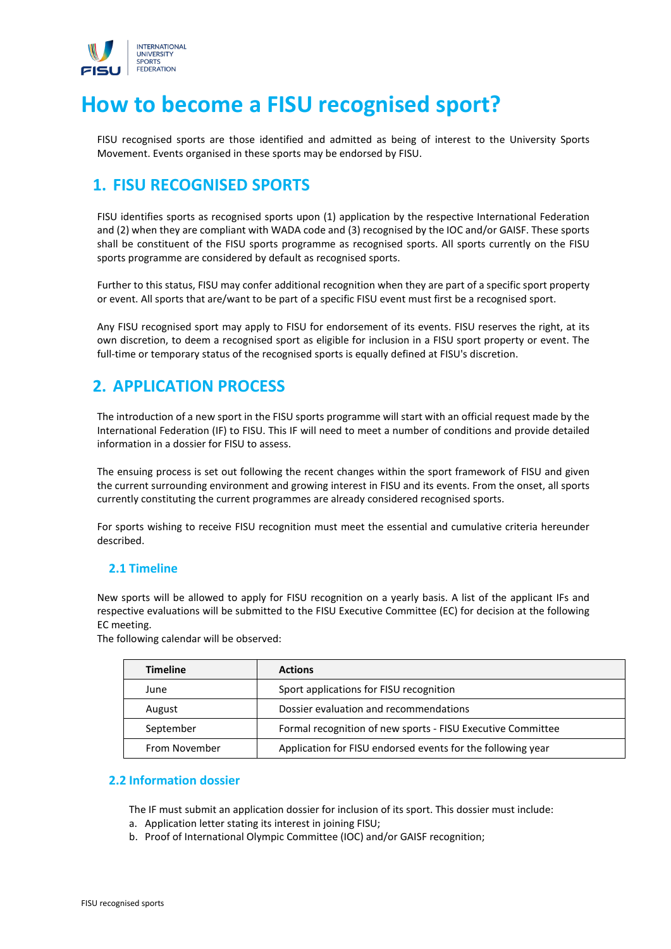

# **How to become a FISU recognised sport?**

FISU recognised sports are those identified and admitted as being of interest to the University Sports Movement. Events organised in these sports may be endorsed by FISU.

# **1. FISU RECOGNISED SPORTS**

FISU identifies sports as recognised sports upon (1) application by the respective International Federation and (2) when they are compliant with WADA code and (3) recognised by the IOC and/or GAISF. These sports shall be constituent of the FISU sports programme as recognised sports. All sports currently on the FISU sports programme are considered by default as recognised sports.

Further to this status, FISU may confer additional recognition when they are part of a specific sport property or event. All sports that are/want to be part of a specific FISU event must first be a recognised sport.

Any FISU recognised sport may apply to FISU for endorsement of its events. FISU reserves the right, at its own discretion, to deem a recognised sport as eligible for inclusion in a FISU sport property or event. The full-time or temporary status of the recognised sports is equally defined at FISU's discretion.

### **2. APPLICATION PROCESS**

The introduction of a new sport in the FISU sports programme will start with an official request made by the International Federation (IF) to FISU. This IF will need to meet a number of conditions and provide detailed information in a dossier for FISU to assess.

The ensuing process is set out following the recent changes within the sport framework of FISU and given the current surrounding environment and growing interest in FISU and its events. From the onset, all sports currently constituting the current programmes are already considered recognised sports.

For sports wishing to receive FISU recognition must meet the essential and cumulative criteria hereunder described.

#### **2.1 Timeline**

New sports will be allowed to apply for FISU recognition on a yearly basis. A list of the applicant IFs and respective evaluations will be submitted to the FISU Executive Committee (EC) for decision at the following EC meeting.

| The following calendar will be observed: |  |
|------------------------------------------|--|
|------------------------------------------|--|

| <b>Timeline</b> | <b>Actions</b>                                              |
|-----------------|-------------------------------------------------------------|
| June            | Sport applications for FISU recognition                     |
| August          | Dossier evaluation and recommendations                      |
| September       | Formal recognition of new sports - FISU Executive Committee |
| From November   | Application for FISU endorsed events for the following year |

#### **2.2 Information dossier**

The IF must submit an application dossier for inclusion of its sport. This dossier must include:

- a. Application letter stating its interest in joining FISU;
- b. Proof of International Olympic Committee (IOC) and/or GAISF recognition;